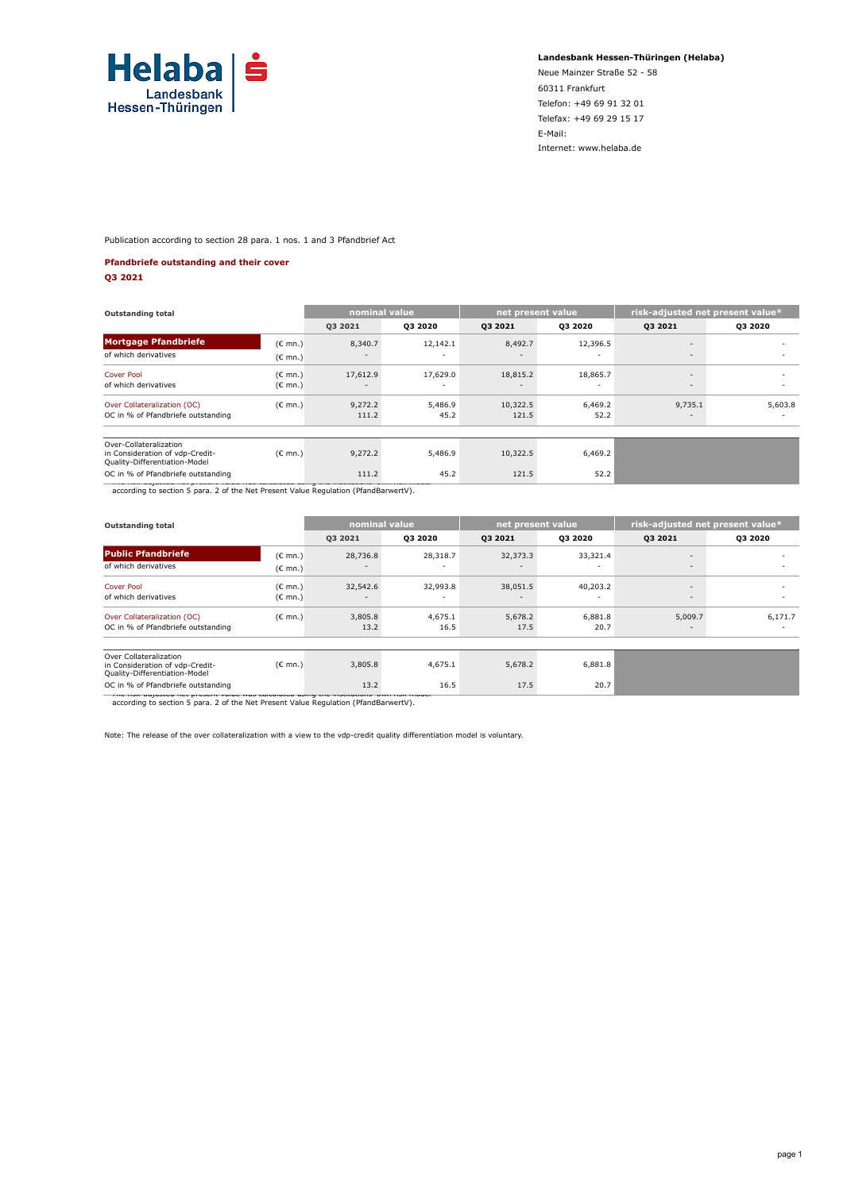

**Landesbank Hessen-Thüringen (Helaba)**

Neue Mainzer Straße 52 - 58 60311 Frankfurt Telefon: +49 69 91 32 01 Telefax: +49 69 29 15 17 E-Mail: Internet: www.helaba.de

Publication according to section 28 para. 1 nos. 1 and 3 Pfandbrief Act

#### **Pfandbriefe outstanding and their cover**

**Q3 2021**

| 03 20 20<br>8,340.7<br>12,142.1<br>17,629.0<br>17,612.9<br>٠ | 03 20 21<br>8,492.7<br>18,815.2<br>$\overline{\phantom{a}}$ | 03 20 20<br>12,396.5<br>18,865.7<br>٠ | 03 20 21<br>$\overline{\phantom{a}}$<br>$\sim$<br>$\overline{\phantom{a}}$<br>$\sim$ | <b>Q3 2020</b><br>۰<br>۰<br>۰                                                       |
|--------------------------------------------------------------|-------------------------------------------------------------|---------------------------------------|--------------------------------------------------------------------------------------|-------------------------------------------------------------------------------------|
|                                                              |                                                             |                                       |                                                                                      |                                                                                     |
|                                                              |                                                             |                                       |                                                                                      |                                                                                     |
|                                                              |                                                             |                                       |                                                                                      |                                                                                     |
|                                                              |                                                             |                                       |                                                                                      |                                                                                     |
|                                                              |                                                             |                                       |                                                                                      |                                                                                     |
| 9,272.2<br>5,486.9                                           | 10,322.5                                                    | 6,469.2                               | 9,735.1                                                                              | 5,603.8                                                                             |
| 45.2                                                         | 121.5                                                       | 52.2                                  | $\overline{\phantom{a}}$                                                             |                                                                                     |
|                                                              |                                                             |                                       |                                                                                      |                                                                                     |
| 5,486.9                                                      | 10,322.5                                                    | 6,469.2                               |                                                                                      |                                                                                     |
| 45.2                                                         | 121.5                                                       | 52.2                                  |                                                                                      |                                                                                     |
|                                                              | 111.2<br>9,272.2<br>111.2                                   |                                       |                                                                                      | according to section 5 para. 2 of the Net Present Value Regulation (PfandBarwertV). |

| <b>Outstanding total</b>                                                                                                                |                                        | nominal value                        |                                      | net present value |                                      | risk-adjusted net present value*                     |                |  |
|-----------------------------------------------------------------------------------------------------------------------------------------|----------------------------------------|--------------------------------------|--------------------------------------|-------------------|--------------------------------------|------------------------------------------------------|----------------|--|
|                                                                                                                                         |                                        | <b>Q3 2021</b>                       | Q3 2020                              | Q3 2021           | <b>Q3 2020</b>                       | <b>Q3 2021</b>                                       | <b>Q3 2020</b> |  |
| <b>Public Pfandbriefe</b>                                                                                                               | (€ mn.)                                | 28,736.8                             | 28,318.7                             | 32,373.3          | 33,321.4                             | $\overline{\phantom{a}}$                             |                |  |
| of which derivatives                                                                                                                    | $(C \text{ mn.})$                      |                                      |                                      |                   |                                      | $\overline{\phantom{a}}$                             |                |  |
| Cover Pool<br>of which derivatives                                                                                                      | $(C \text{ mn.})$<br>$(E \text{ mn.})$ | 32,542.6<br>$\overline{\phantom{a}}$ | 32,993.8<br>$\overline{\phantom{a}}$ | 38,051.5<br>۰     | 40,203.2<br>$\overline{\phantom{a}}$ | $\overline{\phantom{a}}$<br>$\overline{\phantom{a}}$ |                |  |
| Over Collateralization (OC)<br>OC in % of Pfandbriefe outstanding                                                                       | $(C \text{ mn.})$                      | 3,805.8<br>13.2                      | 4,675.1<br>16.5                      | 5,678.2<br>17.5   | 6,881.8<br>20.7                      | 5,009.7<br>$\overline{\phantom{a}}$                  | 6,171.7        |  |
| Over Collateralization<br>in Consideration of vdp-Credit-<br>Quality-Differentiation-Model                                              | $(E \text{ mn.})$                      | 3,805.8                              | 4,675.1                              | 5,678.2           | 6,881.8                              |                                                      |                |  |
| OC in % of Pfandbriefe outstanding<br>המשטחה מקור וחזש. קווטוסטטווה מוני אחומט ומטעטווי מטערים משטח מוני מוני משטח משטח מקור מיוחד מונד |                                        | 13.2                                 | 16.5                                 | 17.5              | 20.7                                 |                                                      |                |  |

\* The risk-adjusted net present value was calculated using the institutions' own risk model according to section 5 para. 2 of the Net Present Value Regulation (PfandBarwertV).

Note: The release of the over collateralization with a view to the vdp-credit quality differentiation model is voluntary.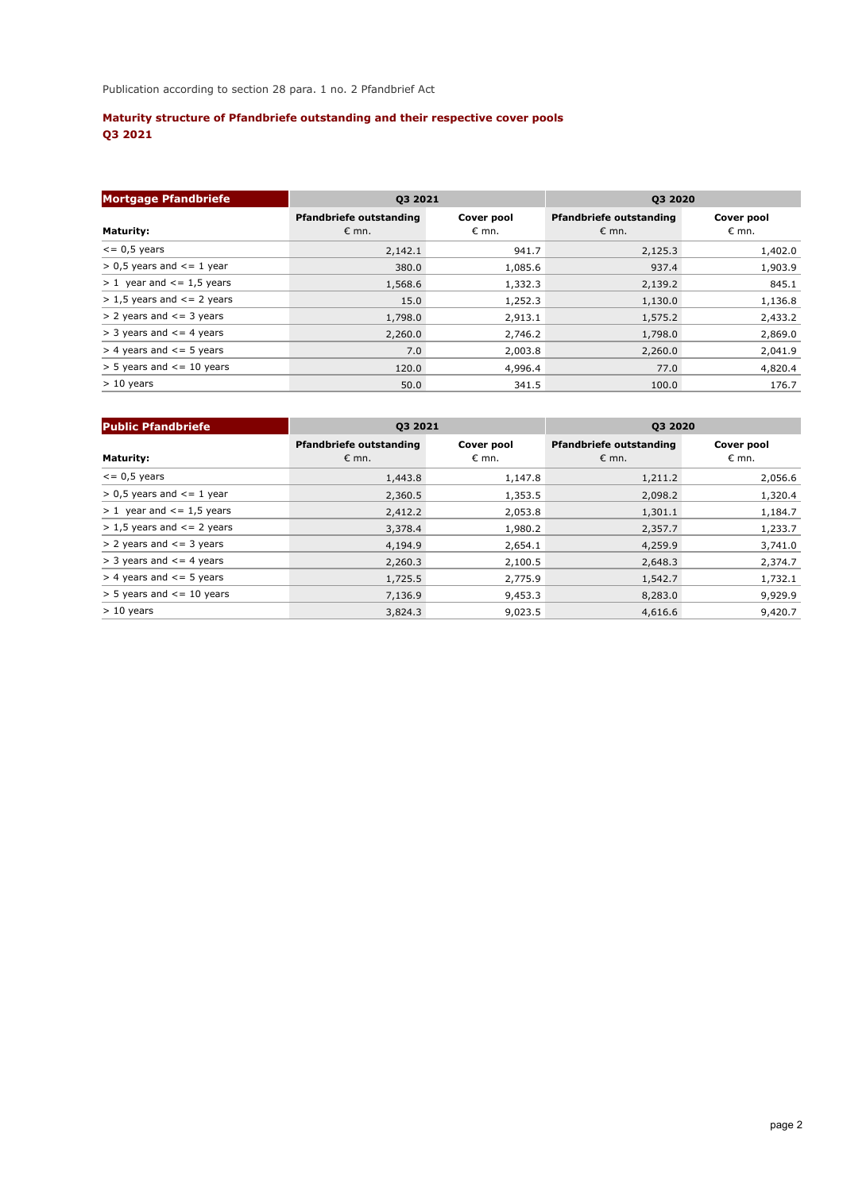# **Maturity structure of Pfandbriefe outstanding and their respective cover pools Q3 2021**

| <b>Mortgage Pfandbriefe</b>        | Q3 2021                                          |                     | Q3 2020                                          |                              |  |  |
|------------------------------------|--------------------------------------------------|---------------------|--------------------------------------------------|------------------------------|--|--|
| <b>Maturity:</b>                   | <b>Pfandbriefe outstanding</b><br>$\epsilon$ mn. | Cover pool<br>€ mn. | <b>Pfandbriefe outstanding</b><br>$\epsilon$ mn. | Cover pool<br>$\epsilon$ mn. |  |  |
| $\leq$ 0,5 years                   | 2,142.1                                          | 941.7               | 2,125.3                                          | 1,402.0                      |  |  |
| $> 0.5$ years and $\leq 1$ year    | 380.0                                            | 1,085.6             | 937.4                                            | 1,903.9                      |  |  |
| $> 1$ year and $\le$ = 1,5 years   | 1,568.6                                          | 1,332.3             | 2,139.2                                          | 845.1                        |  |  |
| $> 1.5$ years and $\leq$ = 2 years | 15.0                                             | 1,252.3             | 1,130.0                                          | 1,136.8                      |  |  |
| $> 2$ years and $\le$ = 3 years    | 1,798.0                                          | 2,913.1             | 1,575.2                                          | 2,433.2                      |  |  |
| $>$ 3 years and $\leq$ 4 years     | 2,260.0                                          | 2,746.2             | 1,798.0                                          | 2,869.0                      |  |  |
| $>$ 4 years and $\le$ = 5 years    | 7.0                                              | 2,003.8             | 2,260.0                                          | 2,041.9                      |  |  |
| $>$ 5 years and $\le$ = 10 years   | 120.0                                            | 4,996.4             | 77.0                                             | 4,820.4                      |  |  |
| $> 10$ years                       | 50.0                                             | 341.5               | 100.0                                            | 176.7                        |  |  |

| <b>Public Pfandbriefe</b>          | <b>Q3 2021</b>                                   |                              | Q3 2020                                          |                              |  |  |
|------------------------------------|--------------------------------------------------|------------------------------|--------------------------------------------------|------------------------------|--|--|
| <b>Maturity:</b>                   | <b>Pfandbriefe outstanding</b><br>$\epsilon$ mn. | Cover pool<br>$\epsilon$ mn. | <b>Pfandbriefe outstanding</b><br>$\epsilon$ mn. | Cover pool<br>$\epsilon$ mn. |  |  |
| $\epsilon$ = 0,5 years             | 1,443.8                                          | 1,147.8                      | 1,211.2                                          | 2,056.6                      |  |  |
| $> 0.5$ years and $\leq 1$ year    | 2,360.5                                          | 1,353.5                      | 2,098.2                                          | 1,320.4                      |  |  |
| $> 1$ year and $<= 1.5$ years      | 2,412.2                                          | 2,053.8                      | 1,301.1                                          | 1,184.7                      |  |  |
| $> 1.5$ years and $\leq$ = 2 years | 3,378.4                                          | 1,980.2                      | 2,357.7                                          | 1,233.7                      |  |  |
| $> 2$ years and $\leq$ = 3 years   | 4,194.9                                          | 2,654.1                      | 4,259.9                                          | 3,741.0                      |  |  |
| $>$ 3 years and $\leq$ 4 years     | 2,260.3                                          | 2,100.5                      | 2,648.3                                          | 2,374.7                      |  |  |
| $>$ 4 years and $\leq$ 5 years     | 1,725.5                                          | 2,775.9                      | 1,542.7                                          | 1,732.1                      |  |  |
| $>$ 5 years and $\le$ = 10 years   | 7,136.9                                          | 9,453.3                      | 8,283.0                                          | 9,929.9                      |  |  |
| $> 10$ years                       | 3,824.3                                          | 9,023.5                      | 4,616.6                                          | 9,420.7                      |  |  |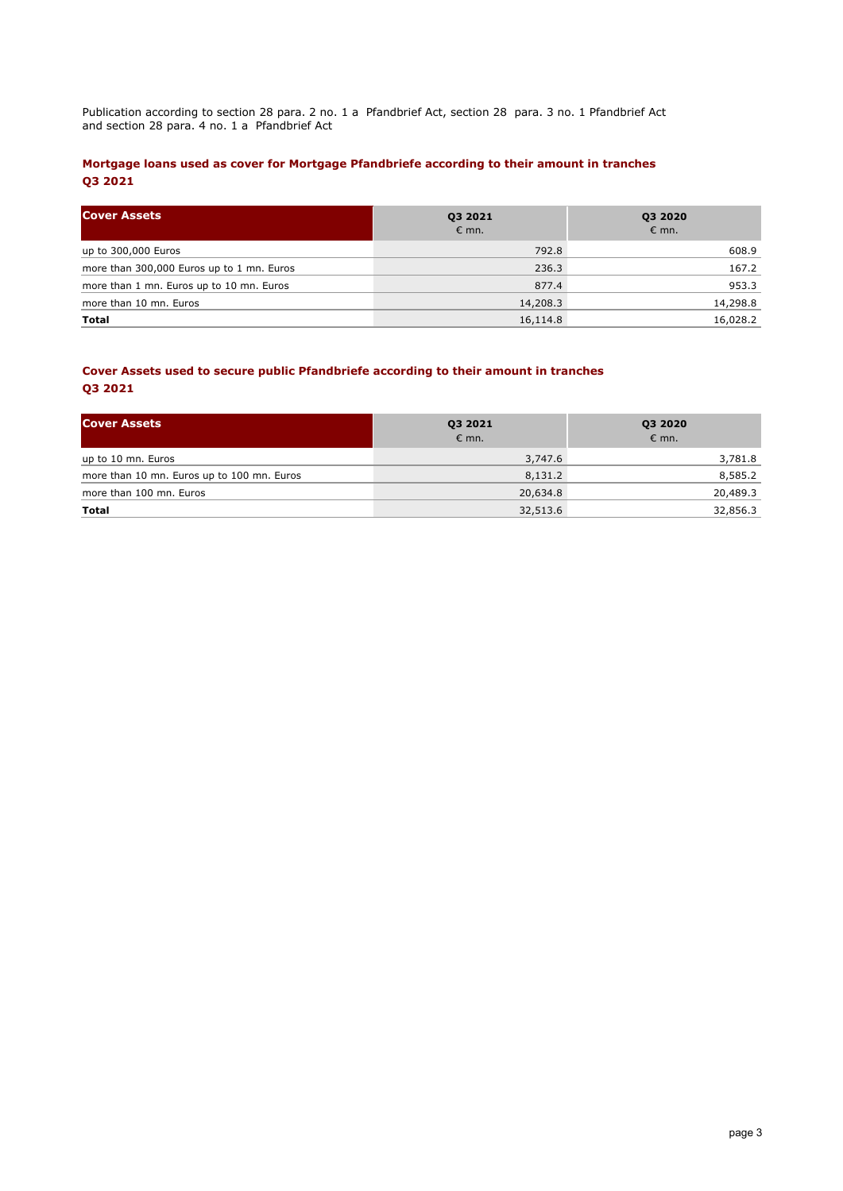Publication according to section 28 para. 2 no. 1 a Pfandbrief Act, section 28 para. 3 no. 1 Pfandbrief Act and section 28 para. 4 no. 1 a Pfandbrief Act

## **Mortgage loans used as cover for Mortgage Pfandbriefe according to their amount in tranches Q3 2021**

| <b>Cover Assets</b>                       | 03 2021<br>$\epsilon$ mn. | <b>Q3 2020</b><br>$\epsilon$ mn. |  |  |
|-------------------------------------------|---------------------------|----------------------------------|--|--|
| up to 300,000 Euros                       | 792.8                     | 608.9                            |  |  |
| more than 300,000 Euros up to 1 mn. Euros | 236.3                     | 167.2                            |  |  |
| more than 1 mn. Euros up to 10 mn. Euros  | 877.4                     | 953.3                            |  |  |
| more than 10 mn. Euros                    | 14,208.3                  | 14,298.8                         |  |  |
| Total                                     | 16,114.8                  | 16,028.2                         |  |  |

## **Cover Assets used to secure public Pfandbriefe according to their amount in tranches Q3 2021**

| <b>Cover Assets</b>                        | Q3 2021<br>$\epsilon$ mn. | Q3 2020<br>$\epsilon$ mn. |  |  |
|--------------------------------------------|---------------------------|---------------------------|--|--|
| up to 10 mn. Euros                         | 3,747.6                   | 3,781.8                   |  |  |
| more than 10 mn. Euros up to 100 mn. Euros | 8,131.2                   | 8,585.2                   |  |  |
| more than 100 mn. Euros                    | 20,634.8                  | 20,489.3                  |  |  |
| Total                                      | 32,513.6                  | 32,856.3                  |  |  |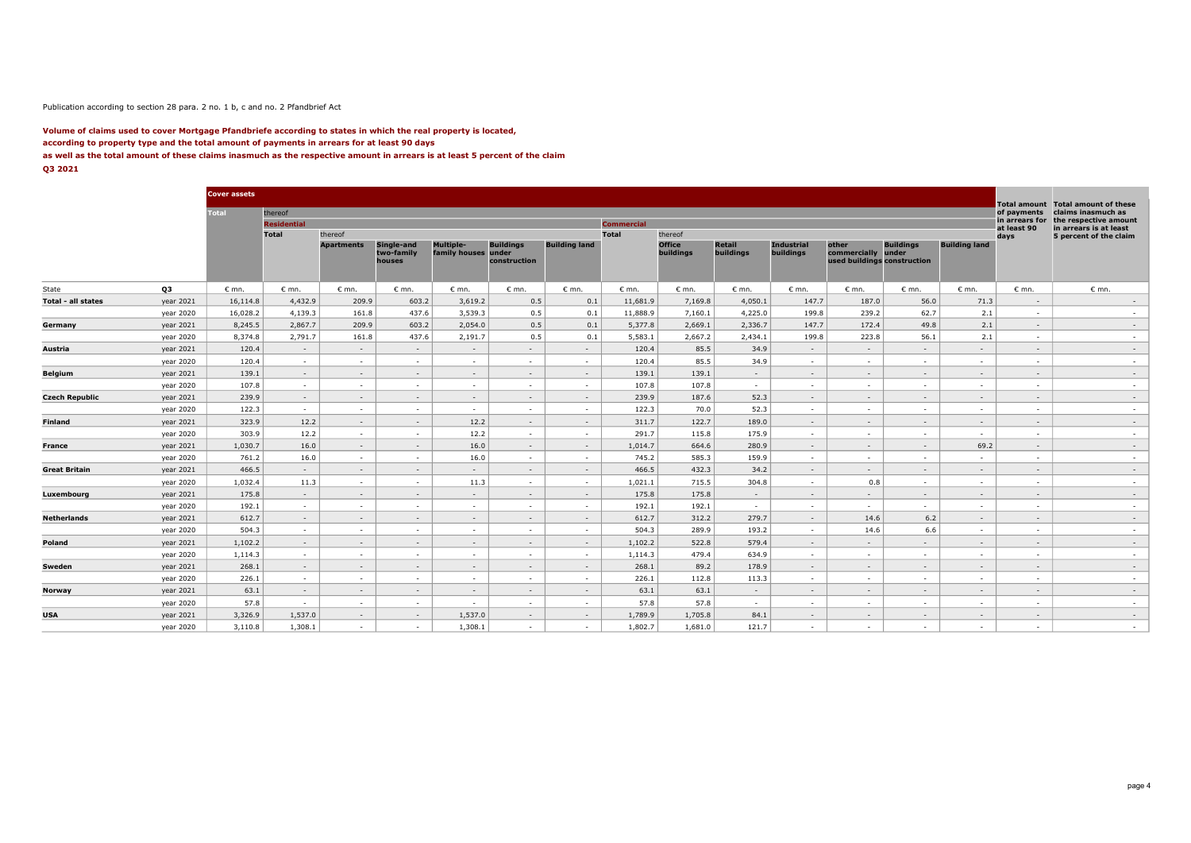#### Publication according to section 28 para. 2 no. 1 b, c and no. 2 Pfandbrief Act

#### **Volume of claims used to cover Mortgage Pfandbriefe according to states in which the real property is located, according to property type and the total amount of payments in arrears for at least 90 days as well as the total amount of these claims inasmuch as the respective amount in arrears is at least 5 percent of the claim Q3 2021**

|                       |           | <b>Cover assets</b> |                    |                   |                                    |                                         |                                  |                      |                   |                            |                            |                                       |                                                            |                  |                          | <b>Total amount</b>      | <b>Total amount of these</b>                     |
|-----------------------|-----------|---------------------|--------------------|-------------------|------------------------------------|-----------------------------------------|----------------------------------|----------------------|-------------------|----------------------------|----------------------------|---------------------------------------|------------------------------------------------------------|------------------|--------------------------|--------------------------|--------------------------------------------------|
|                       |           | <b>Total</b>        | thereof            |                   |                                    |                                         |                                  |                      |                   |                            |                            |                                       |                                                            |                  |                          | of payments              | claims inasmuch as                               |
|                       |           |                     | <b>Residential</b> |                   |                                    |                                         |                                  |                      | <b>Commercial</b> |                            |                            |                                       |                                                            |                  |                          | in arrears for           | the respective amount                            |
|                       |           |                     | Total              | thereof           |                                    |                                         |                                  |                      | <b>Total</b>      | thereof                    |                            |                                       |                                                            |                  |                          | at least 90<br>days      | in arrears is at least<br>5 percent of the claim |
|                       |           |                     |                    | <b>Apartments</b> | Single-and<br>two-family<br>houses | <b>Multiple-</b><br>family houses under | <b>Buildings</b><br>construction | <b>Building land</b> |                   | <b>Office</b><br>buildings | <b>Retail</b><br>buildings | <b>Industrial</b><br><b>buildings</b> | other<br>commercially under<br>used buildings construction | <b>Buildings</b> | <b>Building land</b>     |                          |                                                  |
| State                 | Q3        | $\epsilon$ mn.      | $\epsilon$ mn.     | $\epsilon$ mn.    | $\epsilon$ mn.                     | $\varepsilon$ mn.                       | $\epsilon$ mn.                   | $\epsilon$ mn.       | $\varepsilon$ mn. | $\epsilon$ mn.             | $\epsilon$ mn.             | $\epsilon$ mn.                        | $\epsilon$ mn.                                             | $\epsilon$ mn.   | $\epsilon$ mn.           | $\epsilon$ mn.           | $\epsilon$ mn.                                   |
| Total - all states    | year 2021 | 16,114.8            | 4,432.9            | 209.9             | 603.2                              | 3,619.2                                 | 0.5                              | 0.1                  | 11,681.9          | 7,169.8                    | 4,050.1                    | 147.7                                 | 187.0                                                      | 56.0             | 71.3                     | $\sim$                   | $\sim$                                           |
|                       | year 2020 | 16,028.2            | 4,139.3            | 161.8             | 437.6                              | 3,539.3                                 | 0.5                              | 0.1                  | 11,888.9          | 7,160.1                    | 4,225.0                    | 199.8                                 | 239.2                                                      | 62.7             | 2.1                      | $\overline{\phantom{a}}$ | $\sim$                                           |
| Germany               | year 2021 | 8,245.5             | 2,867.7            | 209.9             | 603.2                              | 2,054.0                                 | 0.5                              | 0.1                  | 5,377.8           | 2,669.1                    | 2,336.7                    | 147.7                                 | 172.4                                                      | 49.8             | 2.1                      | $\sim$                   | $\sim$                                           |
|                       | year 2020 | 8,374.8             | 2,791.7            | 161.8             | 437.6                              | 2,191.7                                 | 0.5                              | 0.1                  | 5,583.1           | 2,667.2                    | 2,434.1                    | 199.8                                 | 223.8                                                      | 56.1             | 2.1                      | $\overline{\phantom{a}}$ | $\sim$                                           |
| Austria               | year 2021 | 120.4               | $\sim$             | $\sim$            | $\sim$                             | $\sim$                                  | $\sim$                           | $\sim$               | 120.4             | 85.5                       | 34.9                       | $\sim$                                | $\sim$                                                     | $\sim$           | $\sim$                   | $\sim$                   | $\sim$                                           |
|                       | year 2020 | 120.4               | $\sim$             | $\sim$            | $\sim$                             | $\sim$                                  | <b>COL</b>                       | $\sim$               | 120.4             | 85.5                       | 34.9                       | <b>A</b>                              | <b>COL</b>                                                 | $\sim$           | <b>COL</b>               |                          | $\sim$                                           |
| Belgium               | year 2021 | 139.1               | $\sim$             | $\sim$            | $\sim$                             | $\sim$                                  | $\sim$                           | $\sim$               | 139.1             | 139.1                      | $\sim$                     | $\sim$                                | ÷                                                          | $\sim$           | $\sim$                   | $\sim$                   | $\sim$                                           |
|                       | year 2020 | 107.8               | $\sim$             | <b>COL</b>        | $\sim$                             | $\sim$                                  | $\sim$                           | $\sim$               | 107.8             | 107.8                      | $\sim$                     | $\sim$                                | $\sim$                                                     | $\sim$           | <b>COL</b>               | $\sim$                   | $\sim$                                           |
| <b>Czech Republic</b> | year 2021 | 239.9               | $\sim$             | $\sim$            | $\sim$                             | $\sim$                                  | $\sim$                           | $\sim$               | 239.9             | 187.6                      | 52.3                       | $\sim$                                | $\sim$                                                     | $\sim$           | $\sim$                   | $\sim$                   | $\sim$                                           |
|                       | year 2020 | 122.3               | $\sim$             | $\sim$            | $\sim$                             | $\sim$                                  | <b>A</b>                         | $\sim$               | 122.3             | 70.0                       | 52.3                       | $\sim$                                | $\sim$                                                     | $\sim$           | <b>COL</b>               | $\sim$                   | $\sim$                                           |
| Finland               | year 2021 | 323.9               | 12.2               | $\sim$            | $\overline{\phantom{a}}$           | 12.2                                    | $\sim$                           | $\sim$               | 311.7             | 122.7                      | 189.0                      | $\sim$                                | $\sim$                                                     | $\sim$           | $\sim$                   | $\sim$                   | $\sim$                                           |
|                       | year 2020 | 303.9               | 12.2               | $\sim$            | $\sim$                             | 12.2                                    | $\sim$                           | $\sim$               | 291.7             | 115.8                      | 175.9                      | $\sim$                                | $\sim$                                                     | $\sim$           | $\sim$                   | $\sim$                   | $\sim$                                           |
| France                | year 2021 | 1,030.7             | 16.0               | $\sim$            | $\sim$                             | 16.0                                    | $\sim$                           | $\sim$               | 1,014.7           | 664.6                      | 280.9                      | $\sim$                                | $\sim$                                                     | $\sim$           | 69.2                     | $\sim$                   | $\sim$                                           |
|                       | year 2020 | 761.2               | 16.0               | $\sim$            | $\sim$                             | 16.0                                    | $\sim$                           | $\sim$               | 745.2             | 585.3                      | 159.9                      | $\sim$                                | $\sim$                                                     | $\sim$           | $\sim$                   | $\sim$                   | $\sim$                                           |
| <b>Great Britain</b>  | year 2021 | 466.5               | $\sim$             | $\sim$            | $\sim$                             | $\sim$                                  | $\sim$                           | $\sim$               | 466.5             | 432.3                      | 34.2                       | $\sim$                                | $\sim$                                                     | $\sim$           | $\sim$                   | $\sim$                   | $\sim$                                           |
|                       | year 2020 | 1,032.4             | 11.3               | $\sim$            | $\sim$                             | 11.3                                    | $\sim$                           | $\sim$               | 1,021.1           | 715.5                      | 304.8                      | $\sim$                                | 0.8                                                        | $\sim$           | $\sim$                   | $\sim$                   | $\sim$                                           |
| Luxembourg            | year 2021 | 175.8               | $\sim$             | $\sim$            | $\sim$                             | $\sim$                                  | $\sim$                           | $\sim$               | 175.8             | 175.8                      | $\sim$                     | $\sim$                                | $\sim$                                                     | $\sim$           | $\sim$                   | $\sim$                   | $\sim$                                           |
|                       | year 2020 | 192.1               | $\sim$             | $\sim$            | $\sim$                             | $\sim$                                  | <b>A</b>                         | $\sim$               | 192.1             | 192.1                      | $\sim$                     | $\sim$                                | $\sim$                                                     | $\sim$           | <b>COL</b>               | $\sim$                   | $\sim$                                           |
| <b>Netherlands</b>    | year 2021 | 612.7               | $\sim$             | $\sim$            | $\sim$                             | $\sim$                                  | $\sim$                           | $\sim$               | 612.7             | 312.2                      | 279.7                      | $\sim$                                | 14.6                                                       | 6.2              | $\sim$                   | $\sim$                   | $\sim$                                           |
|                       | year 2020 | 504.3               | $\sim$             | . —               | $\sim$                             | $\sim$                                  | <b>A</b>                         | $\sim$               | 504.3             | 289.9                      | 193.2                      | $\sim$                                | 14.6                                                       | 6.6              | $\sim$                   | $\sim$                   | $\sim$                                           |
| Poland                | year 2021 | 1,102.2             | $\sim$             | $\sim$            | $\sim$                             | $\sim$                                  | $\sim$                           | $\sim$               | 1,102.2           | 522.8                      | 579.4                      | $\sim$                                | $\sim$                                                     | $\sim$           | $\sim$                   | $\sim$                   | $\sim$                                           |
|                       | year 2020 | 1,114.3             | $\sim$             | $\sim$            | $\sim$                             | $\sim$                                  | <b>A</b>                         | $\sim$               | 1,114.3           | 479.4                      | 634.9                      | $\sim$                                | $\sim$                                                     | $\sim$           | $\sim$                   | $\sim$                   | $\sim$                                           |
| Sweden                | year 2021 | 268.1               | $\sim$             | $\sim$            | $\sim$                             | $\sim$                                  | $\sim$                           | $\sim$               | 268.1             | 89.2                       | 178.9                      | $\sim$                                | $\sim$                                                     | $\sim$           | $\sim$                   | $\overline{\phantom{a}}$ | $\sim$                                           |
|                       | year 2020 | 226.1               | $\sim$             | $\sim$            | $\sim$                             | $\sim$                                  | $\sim$                           | $\sim$               | 226.1             | 112.8                      | 113.3                      | $\sim$                                | $\sim$                                                     | $\sim$           | $\sim$                   |                          | $\sim$                                           |
| Norway                | year 2021 | 63.1                | $\sim$             | $\sim$            | $\sim$                             | $\sim$                                  | $\sim$                           | $\sim$               | 63.1              | 63.1                       | $\sim$                     | $\sim$                                | $\sim$                                                     | $\sim$           | $\sim$                   | $\sim$                   | $\sim$                                           |
|                       | year 2020 | 57.8                | $\sim$             | $\sim$            | $\sim$                             | $\sim$                                  | $\sim$                           | $\sim$               | 57.8              | 57.8                       | $\sim$                     | $\sim$                                | $\sim$                                                     | $\sim$           | $\sim$                   | $\sim$                   | $\sim$                                           |
| USA                   | year 2021 | 3,326.9             | 1,537.0            | $\sim$            | $\sim$                             | 1,537.0                                 | $\sim$                           | $\sim$               | 1,789.9           | 1,705.8                    | 84.1                       | $\sim$                                | $\sim$                                                     | $\sim$           | $\overline{\phantom{a}}$ | $\sim$                   | $\sim$                                           |
|                       | year 2020 | 3,110.8             | 1,308.1            | $\sim$            | $\sim$                             | 1,308.1                                 | <b>A</b>                         | $\sim$               | 1,802.7           | 1,681.0                    | 121.7                      | $\sim$                                | $\sim$                                                     | $\sim$           | $\sim$                   | $\sim$                   | $\sim$                                           |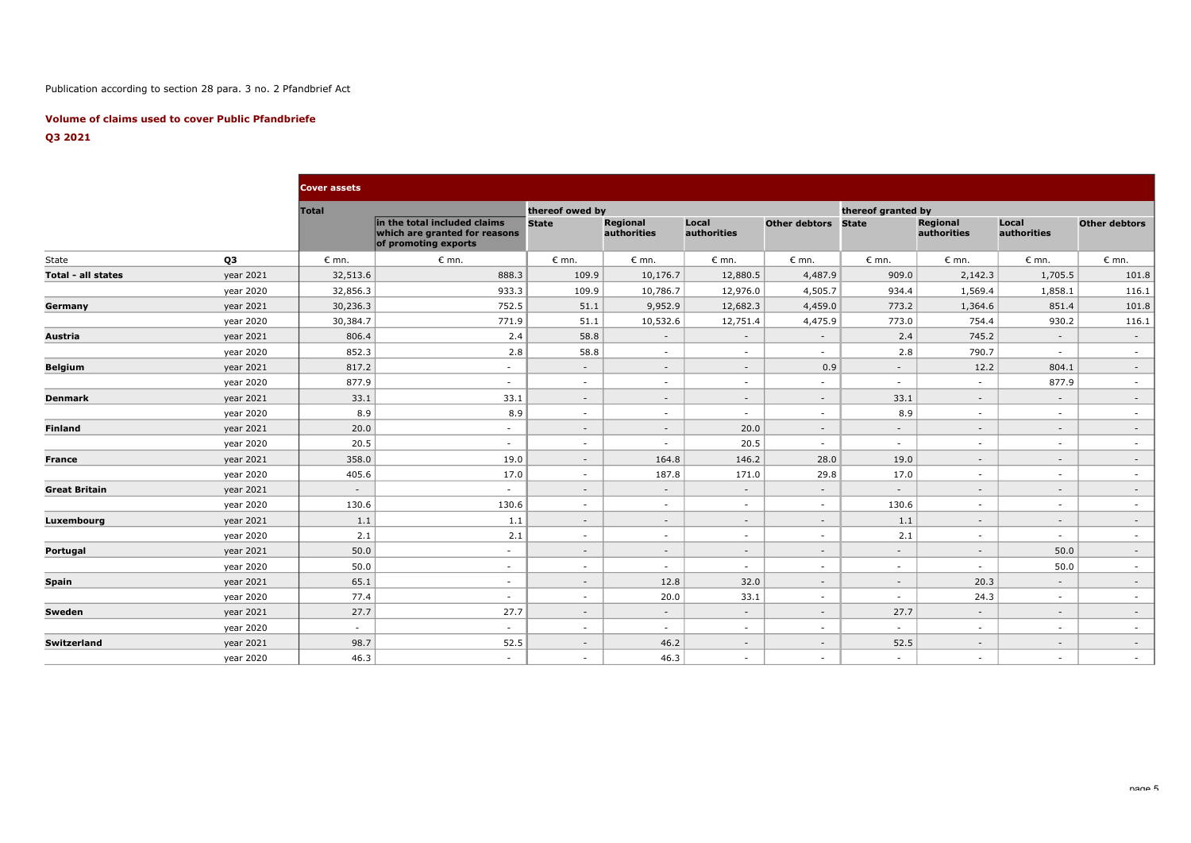## Publication according to section 28 para. 3 no. 2 Pfandbrief Act

### **Volume of claims used to cover Public Pfandbriefe**

## **Q3 2021**

|                      |           | <b>Cover assets</b> |                                                                                       |                 |                                |                      |                          |                    |                         |                          |                          |
|----------------------|-----------|---------------------|---------------------------------------------------------------------------------------|-----------------|--------------------------------|----------------------|--------------------------|--------------------|-------------------------|--------------------------|--------------------------|
|                      |           | <b>Total</b>        |                                                                                       | thereof owed by |                                |                      |                          | thereof granted by |                         |                          |                          |
|                      |           |                     | in the total included claims<br>which are granted for reasons<br>of promoting exports | <b>State</b>    | <b>Regional</b><br>authorities | Local<br>authorities | Other debtors            | <b>State</b>       | Regional<br>authorities | Local<br>authorities     | <b>Other debtors</b>     |
| State                | Q3        | $\epsilon$ mn.      | $\epsilon$ mn.                                                                        | $\epsilon$ mn.  | $\epsilon$ mn.                 | $\epsilon$ mn.       | $\epsilon$ mn.           | $\epsilon$ mn.     | $\epsilon$ mn.          | $\epsilon$ mn.           | $\epsilon$ mn.           |
| Total - all states   | year 2021 | 32,513.6            | 888.3                                                                                 | 109.9           | 10,176.7                       | 12,880.5             | 4,487.9                  | 909.0              | 2,142.3                 | 1,705.5                  | 101.8                    |
|                      | year 2020 | 32,856.3            | 933.3                                                                                 | 109.9           | 10,786.7                       | 12,976.0             | 4,505.7                  | 934.4              | 1,569.4                 | 1,858.1                  | 116.1                    |
| Germany              | year 2021 | 30,236.3            | 752.5                                                                                 | 51.1            | 9,952.9                        | 12,682.3             | 4,459.0                  | 773.2              | 1,364.6                 | 851.4                    | 101.8                    |
|                      | year 2020 | 30,384.7            | 771.9                                                                                 | 51.1            | 10,532.6                       | 12,751.4             | 4,475.9                  | 773.0              | 754.4                   | 930.2                    | 116.1                    |
| Austria              | year 2021 | 806.4               | 2.4                                                                                   | 58.8            | $\sim$                         | $\sim$               | $\sim$                   | 2.4                | 745.2                   | $\sim$                   | $\sim$                   |
|                      | year 2020 | 852.3               | 2.8                                                                                   | 58.8            | $\sim$                         | $\sim$               | $\sim$                   | 2.8                | 790.7                   | $\sim$                   | $\sim$                   |
| <b>Belgium</b>       | year 2021 | 817.2               | $\sim$                                                                                | $\sim$          | $\sim$                         | $\sim$               | 0.9                      | $\sim$             | 12.2                    | 804.1                    | $\sim$                   |
|                      | year 2020 | 877.9               | $\sim$                                                                                | $\sim$          | $\sim$                         | $\sim$               | $\sim$                   | $\sim$             | $\sim$                  | 877.9                    | $\sim$                   |
| <b>Denmark</b>       | year 2021 | 33.1                | 33.1                                                                                  | $\sim$          | $\overline{\phantom{a}}$       | $\sim$               | $\sim$                   | 33.1               | $\sim$                  | $\overline{\phantom{a}}$ | $\sim$                   |
|                      | year 2020 | 8.9                 | 8.9                                                                                   | $\sim$          | $\sim$                         | $\sim$               | $\overline{\phantom{a}}$ | 8.9                | $\sim$                  | $\sim$                   | $\sim$                   |
| <b>Finland</b>       | year 2021 | 20.0                | $\sim$                                                                                | $\sim$          | $\sim$                         | 20.0                 | $\sim$                   | $\sim$             | $\sim$                  | $\sim$                   | $\sim$                   |
|                      | year 2020 | 20.5                | $\sim$                                                                                | $\sim$          | $\sim$                         | 20.5                 | $\sim$                   | $\sim$             | $\sim$                  | $\sim$                   | $\sim$                   |
| <b>France</b>        | year 2021 | 358.0               | 19.0                                                                                  | $\sim$          | 164.8                          | 146.2                | 28.0                     | 19.0               | $\sim$                  | $\sim$                   | $\sim$                   |
|                      | year 2020 | 405.6               | 17.0                                                                                  | $\sim$          | 187.8                          | 171.0                | 29.8                     | 17.0               | $\sim$                  | $\sim$                   | $\sim$                   |
| <b>Great Britain</b> | year 2021 | $\sim$              | $\sim$                                                                                | $\sim$          | $\sim$                         | $\sim$               | $\sim$                   | $\sim$             | $\sim$                  | $\overline{\phantom{a}}$ | $\overline{\phantom{a}}$ |
|                      | year 2020 | 130.6               | 130.6                                                                                 | $\sim$          | $\sim$                         | $\sim$               | $\sim$                   | 130.6              | $\sim$                  | $\sim$                   | $\sim$                   |
| Luxembourg           | year 2021 | 1.1                 | 1.1                                                                                   | $\sim$          | $\sim$                         | $\sim$               | $\sim$                   | 1.1                | $\sim$                  | $\sim$                   | $\sim$                   |
|                      | year 2020 | 2.1                 | 2.1                                                                                   | $\sim$          | $\sim$                         | $\sim$               | $\sim$                   | 2.1                | $\sim$                  | $\sim$                   | $\sim$                   |
| Portugal             | year 2021 | 50.0                | $\sim$                                                                                | $\sim$          | $\sim$                         | $\sim$               | $\sim$                   | $\sim$             | $\sim$                  | 50.0                     | $\sim$                   |
|                      | year 2020 | 50.0                | $\sim$                                                                                | $\sim$          | $\sim$                         | $\sim$               | $\sim$                   | $\sim$             | $\sim$                  | 50.0                     | $\sim$                   |
| <b>Spain</b>         | year 2021 | 65.1                | $\sim$                                                                                | $\sim$          | 12.8                           | 32.0                 | $\sim$                   | $\sim$             | 20.3                    | $\sim$                   | $\sim$                   |
|                      | year 2020 | 77.4                | $\sim$                                                                                | $\sim$          | 20.0                           | 33.1                 | $\sim$                   | $\sim$             | 24.3                    | $\sim$                   | $\sim$                   |
| Sweden               | year 2021 | 27.7                | 27.7                                                                                  | $\sim$          | $\sim$                         | $\sim$               | $\sim$                   | 27.7               | $\sim$                  | $\sim$                   | $\sim$                   |
|                      | year 2020 | $\sim$              | $\sim$                                                                                | $\sim$          | $\sim$                         | $\sim$               | $\overline{\phantom{a}}$ | $\sim$             | $\sim$                  | $\sim$                   | $\sim$                   |
| Switzerland          | year 2021 | 98.7                | 52.5                                                                                  | $\sim$          | 46.2                           | $\sim$               | $\sim$                   | 52.5               | $\sim$                  | $\sim$                   | $\sim$                   |
|                      | year 2020 | 46.3                | $\sim$                                                                                | $\sim$          | 46.3                           | $\sim$               | $\sim$                   | $\sim$             | $\sim$                  | $\sim$                   | $\sim$                   |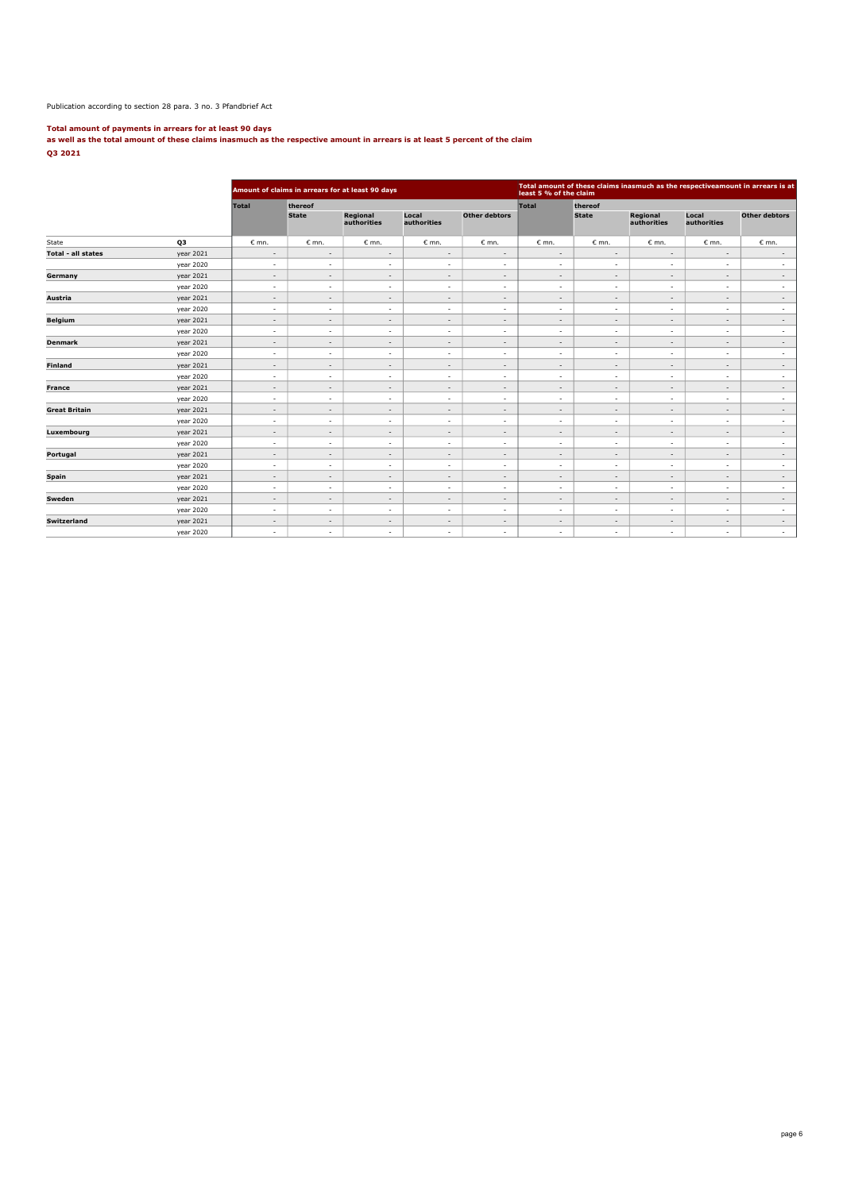#### Publication according to section 28 para. 3 no. 3 Pfandbrief Act

**Total amount of payments in arrears for at least 90 days as well as the total amount of these claims inasmuch as the respective amount in arrears is at least 5 percent of the claim Q3 2021**

|                           |           |                          |                          | Amount of claims in arrears for at least 90 days |                          |                          | Total amount of these claims inasmuch as the respectiveamount in arrears is at<br>least 5 % of the claim |                          |                          |                          |                          |  |
|---------------------------|-----------|--------------------------|--------------------------|--------------------------------------------------|--------------------------|--------------------------|----------------------------------------------------------------------------------------------------------|--------------------------|--------------------------|--------------------------|--------------------------|--|
|                           |           | <b>Total</b>             | thereof                  |                                                  |                          |                          | Total                                                                                                    | thereof                  |                          |                          |                          |  |
|                           |           |                          | <b>State</b>             | Regional<br>authorities                          | Local<br>authorities     | <b>Other debtors</b>     |                                                                                                          | <b>State</b>             | Regional<br>authorities  | Local<br>authorities     | Other debtors            |  |
| State                     | Q3        | $\epsilon$ mn.           | $\epsilon$ mn.           | $\epsilon$ mn.                                   | $\epsilon$ mn.           | $\epsilon$ mn.           | $\epsilon$ mn.                                                                                           | $\epsilon$ mn.           | $\epsilon$ mn.           | $\varepsilon$ mn.        | $\epsilon$ mn.           |  |
| <b>Total - all states</b> | year 2021 | $\overline{\phantom{a}}$ | $\overline{\phantom{a}}$ | $\overline{\phantom{a}}$                         | $\overline{\phantom{a}}$ | $\overline{\phantom{a}}$ | $\overline{\phantom{a}}$                                                                                 | $\overline{\phantom{a}}$ | $\sim$                   | $\sim$                   | $\sim$                   |  |
|                           | year 2020 | $\sim$                   | $\sim$                   | $\sim$                                           | $\sim$                   | ٠                        | $\overline{\phantom{a}}$                                                                                 | $\sim$                   | $\sim$                   | ٠                        | $\overline{\phantom{a}}$ |  |
| Germany                   | year 2021 | $\overline{\phantom{a}}$ | $\sim$                   | $\overline{\phantom{a}}$                         | $\overline{\phantom{a}}$ | $\overline{\phantom{a}}$ | $\overline{\phantom{a}}$                                                                                 | $\overline{\phantom{a}}$ | $\overline{\phantom{a}}$ | $\overline{\phantom{a}}$ | $\overline{\phantom{a}}$ |  |
|                           | year 2020 | $\sim$                   | $\sim$                   | $\sim$                                           | $\sim$                   | $\overline{\phantom{a}}$ | $\sim$                                                                                                   | $\overline{\phantom{a}}$ | $\sim$                   | $\overline{\phantom{a}}$ | $\sim$                   |  |
| Austria                   | year 2021 | $\sim$                   | $\sim$                   | $\sim$                                           | $\overline{\phantom{a}}$ | $\overline{\phantom{a}}$ | $\overline{\phantom{a}}$                                                                                 | $\overline{\phantom{a}}$ | $\sim$                   | $\overline{\phantom{a}}$ | $\sim$                   |  |
|                           | year 2020 | $\sim$                   | $\sim$                   | $\sim$                                           | $\overline{\phantom{a}}$ | ٠                        | $\sim$                                                                                                   | $\overline{\phantom{a}}$ | $\sim$                   | ٠                        | $\sim$                   |  |
| <b>Belgium</b>            | year 2021 | $\sim$                   | $\sim$                   | $\sim$                                           | $\overline{\phantom{a}}$ | $\overline{\phantom{a}}$ | $\sim$                                                                                                   | $\overline{\phantom{0}}$ | $\sim$                   | $\overline{\phantom{a}}$ | $\sim$                   |  |
|                           | year 2020 | $\sim$                   | $\sim$                   | $\sim$                                           | $\sim$                   | $\overline{\phantom{a}}$ | $\sim$                                                                                                   | $\overline{\phantom{a}}$ | $\sim$                   | ٠                        | $\sim$                   |  |
| <b>Denmark</b>            | year 2021 | $\overline{\phantom{a}}$ | $\sim$                   | $\sim$                                           | $\overline{\phantom{a}}$ | $\overline{\phantom{a}}$ | $\overline{\phantom{a}}$                                                                                 | $\overline{\phantom{a}}$ | $\overline{\phantom{a}}$ | $\overline{\phantom{a}}$ | $\overline{\phantom{a}}$ |  |
|                           | year 2020 | $\sim$                   | $\sim$                   | $\sim$                                           | $\sim$                   | $\overline{\phantom{a}}$ | $\sim$                                                                                                   | $\overline{\phantom{a}}$ | $\sim$                   | $\overline{\phantom{a}}$ | $\sim$                   |  |
| <b>Finland</b>            | year 2021 | $\sim$                   | $\overline{\phantom{a}}$ | $\overline{\phantom{a}}$                         | $\overline{\phantom{a}}$ | $\overline{\phantom{a}}$ | $\overline{\phantom{a}}$                                                                                 | $\overline{\phantom{a}}$ | $\overline{\phantom{a}}$ | $\overline{\phantom{a}}$ | $\sim$                   |  |
|                           | year 2020 | $\sim$                   | $\overline{\phantom{a}}$ | $\sim$                                           | $\overline{\phantom{a}}$ | ٠                        | $\sim$                                                                                                   | $\sim$                   | $\sim$                   | ٠                        | $\overline{\phantom{a}}$ |  |
| <b>France</b>             | year 2021 | $\sim$                   | $\sim$                   | $\sim$                                           | $\sim$                   | $\overline{\phantom{a}}$ | $\overline{\phantom{a}}$                                                                                 | $\overline{\phantom{a}}$ | $\sim$                   | $\overline{\phantom{a}}$ | $\sim$                   |  |
|                           | year 2020 | $\sim$                   | $\overline{\phantom{a}}$ | $\sim$                                           | $\overline{\phantom{a}}$ | $\overline{\phantom{a}}$ | $\overline{\phantom{a}}$                                                                                 | $\overline{\phantom{a}}$ | $\overline{\phantom{a}}$ | $\overline{\phantom{a}}$ | $\sim$                   |  |
| <b>Great Britain</b>      | year 2021 | $\sim$                   | $\overline{\phantom{a}}$ | $\sim$                                           | $\overline{\phantom{a}}$ | $\overline{\phantom{a}}$ | $\overline{\phantom{a}}$                                                                                 | $\overline{\phantom{a}}$ | $\sim$                   | $\overline{\phantom{a}}$ | $\sim$                   |  |
|                           | year 2020 | $\sim$                   | $\sim$                   | $\sim$                                           | $\sim$                   | $\overline{\phantom{a}}$ | $\sim$                                                                                                   | $\sim$                   | $\sim$                   | $\overline{\phantom{a}}$ | $\sim$                   |  |
| Luxembourg                | year 2021 | $\sim$                   | $\overline{\phantom{a}}$ | $\overline{\phantom{a}}$                         | $\overline{\phantom{a}}$ | $\overline{\phantom{0}}$ | $\overline{\phantom{a}}$                                                                                 | $\overline{\phantom{a}}$ | $\overline{\phantom{a}}$ | $\overline{\phantom{a}}$ | $\sim$                   |  |
|                           | year 2020 | $\overline{\phantom{a}}$ | $\overline{\phantom{a}}$ | $\sim$                                           | $\overline{\phantom{a}}$ | $\overline{\phantom{0}}$ | $\overline{\phantom{a}}$                                                                                 | $\overline{\phantom{a}}$ | $\overline{\phantom{a}}$ | $\overline{\phantom{a}}$ | $\sim$                   |  |
| Portugal                  | year 2021 | $\overline{\phantom{a}}$ | $\overline{\phantom{a}}$ | $\sim$                                           | $\overline{\phantom{a}}$ | $\overline{\phantom{a}}$ | $\sim$                                                                                                   | $\overline{\phantom{a}}$ | $\sim$                   | $\overline{\phantom{a}}$ | $\sim$                   |  |
|                           | year 2020 | $\sim$                   | $\overline{\phantom{a}}$ | $\sim$                                           | $\sim$                   | ٠                        | $\sim$                                                                                                   | $\overline{\phantom{a}}$ | $\sim$                   | $\overline{\phantom{a}}$ | $\overline{\phantom{a}}$ |  |
| Spain                     | year 2021 | $\overline{\phantom{a}}$ | $\overline{\phantom{a}}$ | $\overline{\phantom{a}}$                         | $\overline{\phantom{a}}$ | $\overline{\phantom{a}}$ | $\overline{\phantom{a}}$                                                                                 | $\overline{\phantom{a}}$ | $\overline{\phantom{a}}$ | $\overline{\phantom{a}}$ | $\sim$                   |  |
|                           | year 2020 | $\sim$                   | $\sim$                   | $\sim$                                           | $\sim$                   | $\overline{\phantom{a}}$ | $\sim$                                                                                                   | $\sim$                   | $\sim$                   | $\overline{\phantom{a}}$ | $\sim$                   |  |
| Sweden                    | year 2021 | $\sim$                   | $\overline{\phantom{a}}$ | $\sim$                                           | $\overline{\phantom{a}}$ | $\overline{\phantom{a}}$ | $\overline{\phantom{a}}$                                                                                 | $\overline{\phantom{a}}$ | $\sim$                   | $\overline{\phantom{a}}$ | $\sim$                   |  |
|                           | year 2020 | $\overline{\phantom{a}}$ | $\overline{\phantom{a}}$ | $\overline{\phantom{a}}$                         | $\sim$                   | ٠                        | $\sim$                                                                                                   | $\sim$                   | $\sim$                   |                          | $\sim$                   |  |
| <b>Switzerland</b>        | year 2021 | $\sim$                   | $\overline{\phantom{a}}$ | $\sim$                                           | $\overline{\phantom{a}}$ | $\overline{\phantom{a}}$ | $\sim$                                                                                                   | $\overline{\phantom{a}}$ | $\sim$                   | $\overline{\phantom{a}}$ | $\sim$                   |  |
|                           | year 2020 | $\overline{\phantom{a}}$ | $\overline{\phantom{a}}$ | $\sim$                                           | $\overline{\phantom{a}}$ | $\overline{\phantom{a}}$ | $\sim$                                                                                                   | $\sim$                   | $\overline{\phantom{a}}$ | $\overline{\phantom{a}}$ | $\sim$                   |  |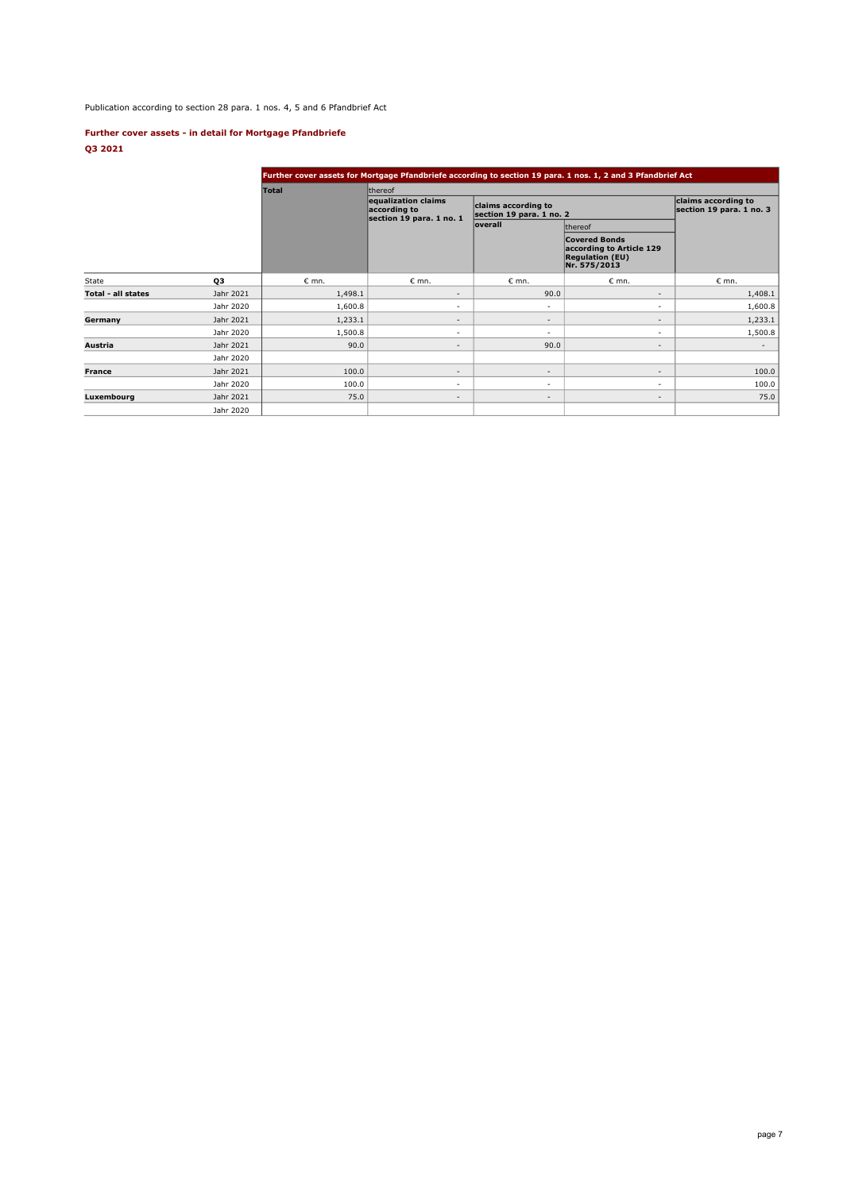Publication according to section 28 para. 1 nos. 4, 5 and 6 Pfandbrief Act

## **Further cover assets - in detail for Mortgage Pfandbriefe Q3 2021**

|                    |           |                   |                                                                 |                                                 | Further cover assets for Mortgage Pfandbriefe according to section 19 para. 1 nos. 1, 2 and 3 Pfandbrief Act |                                                 |  |
|--------------------|-----------|-------------------|-----------------------------------------------------------------|-------------------------------------------------|--------------------------------------------------------------------------------------------------------------|-------------------------------------------------|--|
|                    |           | <b>Total</b>      | thereof                                                         |                                                 |                                                                                                              |                                                 |  |
|                    |           |                   | equalization claims<br>according to<br>section 19 para. 1 no. 1 | claims according to<br>section 19 para. 1 no. 2 |                                                                                                              | claims according to<br>section 19 para. 1 no. 3 |  |
|                    |           |                   |                                                                 | <b>loverall</b>                                 | thereof                                                                                                      |                                                 |  |
|                    |           |                   |                                                                 |                                                 | <b>Covered Bonds</b><br>according to Article 129<br><b>Regulation (EU)</b><br>Nr. 575/2013                   |                                                 |  |
| <b>State</b>       | QЗ        | $\varepsilon$ mn. | $\epsilon$ mn.                                                  | $\epsilon$ mn.                                  | $\epsilon$ mn.                                                                                               | $\epsilon$ mn.                                  |  |
| Total - all states | Jahr 2021 | 1,498.1           | $\overline{\phantom{m}}$                                        | 90.0                                            | $\overline{\phantom{a}}$                                                                                     | 1,408.1                                         |  |
|                    | Jahr 2020 | 1,600.8           | ٠                                                               | ٠                                               | ٠                                                                                                            | 1,600.8                                         |  |
| Germany            | Jahr 2021 | 1,233.1           | $\overline{\phantom{a}}$                                        | $\overline{\phantom{a}}$                        | $\overline{\phantom{a}}$                                                                                     | 1,233.1                                         |  |
|                    | Jahr 2020 | 1,500.8           | ٠                                                               | $\overline{\phantom{a}}$                        | ٠                                                                                                            | 1,500.8                                         |  |
| Austria            | Jahr 2021 | 90.0              | $\overline{\phantom{a}}$                                        | 90.0                                            | $\overline{\phantom{a}}$                                                                                     | $\overline{\phantom{a}}$                        |  |
|                    | Jahr 2020 |                   |                                                                 |                                                 |                                                                                                              |                                                 |  |
| France             | Jahr 2021 | 100.0             | $\overline{\phantom{a}}$                                        | $\overline{\phantom{a}}$                        | $\overline{\phantom{a}}$                                                                                     | 100.0                                           |  |
|                    | Jahr 2020 | 100.0             | ٠                                                               | ٠                                               | ٠                                                                                                            | 100.0                                           |  |
| Luxembourg         | Jahr 2021 | 75.0              | $\overline{\phantom{a}}$                                        | $\overline{\phantom{a}}$                        | $\overline{\phantom{a}}$                                                                                     | 75.0                                            |  |
|                    | Jahr 2020 |                   |                                                                 |                                                 |                                                                                                              |                                                 |  |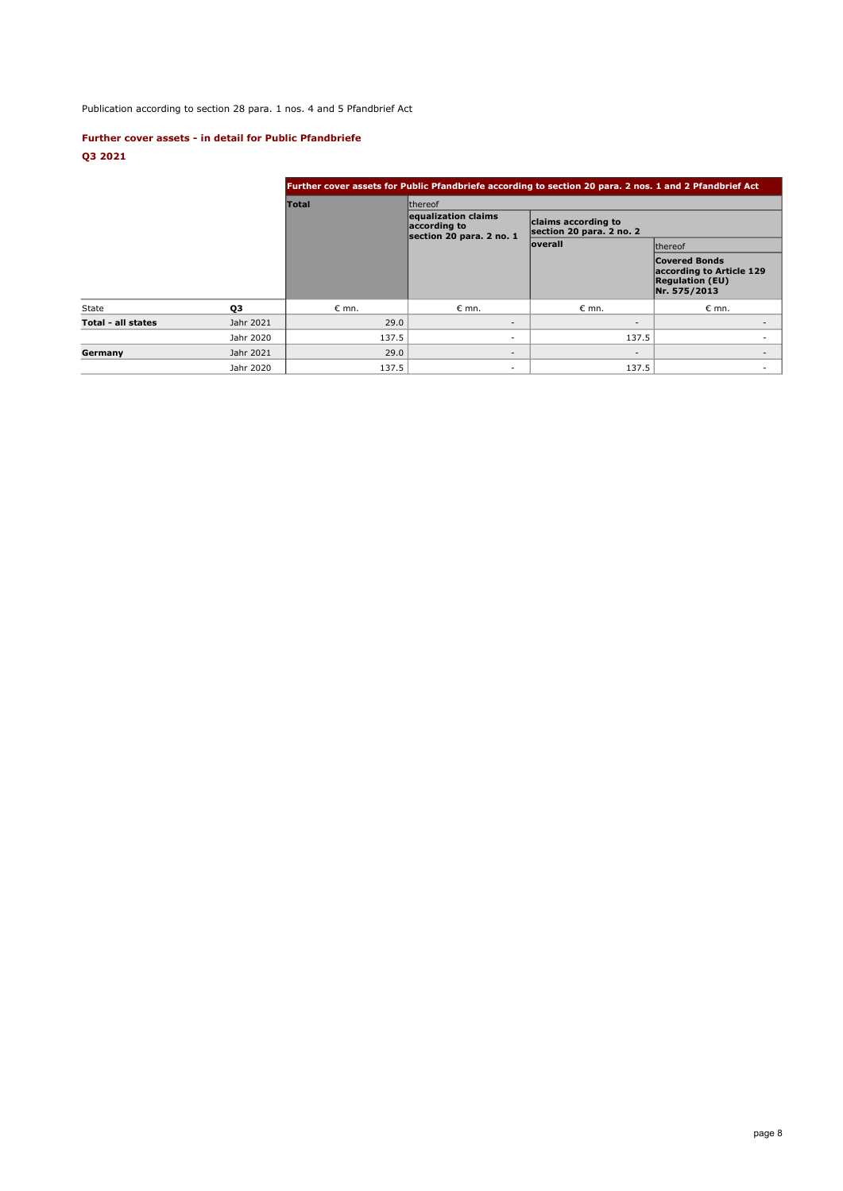# Publication according to section 28 para. 1 nos. 4 and 5 Pfandbrief Act

## **Further cover assets - in detail for Public Pfandbriefe**

**Q3 2021**

|                    |           | Further cover assets for Public Pfandbriefe according to section 20 para. 2 nos. 1 and 2 Pfandbrief Act |                                                                 |                                                 |                                                                                            |  |  |  |  |  |
|--------------------|-----------|---------------------------------------------------------------------------------------------------------|-----------------------------------------------------------------|-------------------------------------------------|--------------------------------------------------------------------------------------------|--|--|--|--|--|
|                    |           | <b>Total</b>                                                                                            | thereof                                                         |                                                 |                                                                                            |  |  |  |  |  |
|                    |           |                                                                                                         | equalization claims<br>according to<br>section 20 para. 2 no. 1 | claims according to<br>section 20 para. 2 no. 2 |                                                                                            |  |  |  |  |  |
|                    |           |                                                                                                         |                                                                 | <b>loverall</b>                                 | <b>Ithereof</b>                                                                            |  |  |  |  |  |
|                    |           |                                                                                                         |                                                                 |                                                 | <b>Covered Bonds</b><br>according to Article 129<br><b>Regulation (EU)</b><br>Nr. 575/2013 |  |  |  |  |  |
| State              | 03        | $\epsilon$ mn.                                                                                          | $\epsilon$ mn.                                                  | $\epsilon$ mn.                                  | $\epsilon$ mn.                                                                             |  |  |  |  |  |
| Total - all states | Jahr 2021 | 29.0                                                                                                    | $\overline{\phantom{a}}$                                        | $\overline{\phantom{a}}$                        |                                                                                            |  |  |  |  |  |
|                    | Jahr 2020 | 137.5                                                                                                   | ۰.                                                              | 137.5                                           |                                                                                            |  |  |  |  |  |
| Germany            | Jahr 2021 | 29.0                                                                                                    | $\overline{\phantom{a}}$                                        | $\overline{\phantom{a}}$                        |                                                                                            |  |  |  |  |  |
|                    | Jahr 2020 | 137.5                                                                                                   | ۰                                                               | 137.5                                           |                                                                                            |  |  |  |  |  |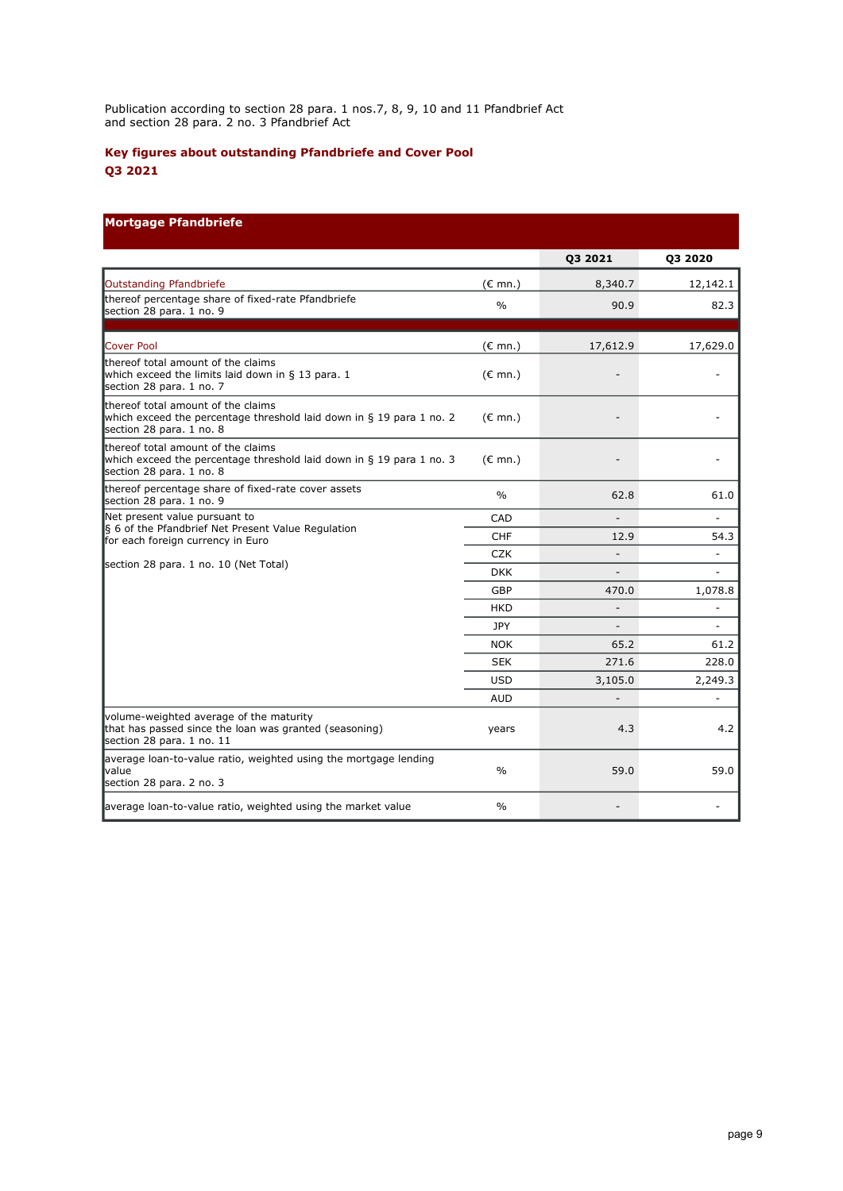Publication according to section 28 para. 1 nos.7, 8, 9, 10 and 11 Pfandbrief Act and section 28 para. 2 no. 3 Pfandbrief Act

# **Key figures about outstanding Pfandbriefe and Cover Pool Q3 2021**

# **Mortgage Pfandbriefe**

|                                                                                                                                        |                   | Q3 2021                  | 03 2020                  |
|----------------------------------------------------------------------------------------------------------------------------------------|-------------------|--------------------------|--------------------------|
| Outstanding Pfandbriefe                                                                                                                | $(E \text{ mn.})$ | 8,340.7                  | 12,142.1                 |
| thereof percentage share of fixed-rate Pfandbriefe<br>section 28 para. 1 no. 9                                                         | $\frac{0}{0}$     | 90.9                     | 82.3                     |
| Cover Pool                                                                                                                             | $(E \text{ mn.})$ | 17,612.9                 | 17,629.0                 |
| thereof total amount of the claims<br>which exceed the limits laid down in § 13 para. 1<br>section 28 para. 1 no. 7                    | $(E \text{ mn.})$ |                          |                          |
| thereof total amount of the claims<br>which exceed the percentage threshold laid down in § 19 para 1 no. 2<br>section 28 para. 1 no. 8 | $(E \text{ mn.})$ |                          |                          |
| thereof total amount of the claims<br>which exceed the percentage threshold laid down in § 19 para 1 no. 3<br>section 28 para. 1 no. 8 | $(E \text{ mn.})$ |                          |                          |
| thereof percentage share of fixed-rate cover assets<br>section 28 para. 1 no. 9                                                        | $\%$              | 62.8                     | 61.0                     |
| Net present value pursuant to                                                                                                          | CAD               |                          |                          |
| § 6 of the Pfandbrief Net Present Value Regulation<br>for each foreign currency in Euro                                                | <b>CHF</b>        | 12.9                     | 54.3                     |
|                                                                                                                                        | <b>CZK</b>        | $\overline{\phantom{a}}$ | $\overline{\phantom{m}}$ |
| section 28 para. 1 no. 10 (Net Total)                                                                                                  | <b>DKK</b>        |                          |                          |
|                                                                                                                                        | <b>GBP</b>        | 470.0                    | 1,078.8                  |
|                                                                                                                                        | <b>HKD</b>        |                          | ÷,                       |
|                                                                                                                                        | <b>JPY</b>        |                          |                          |
|                                                                                                                                        | <b>NOK</b>        | 65.2                     | 61.2                     |
|                                                                                                                                        | <b>SEK</b>        | 271.6                    | 228.0                    |
|                                                                                                                                        | <b>USD</b>        | 3,105.0                  | 2,249.3                  |
|                                                                                                                                        | <b>AUD</b>        |                          |                          |
| volume-weighted average of the maturity<br>that has passed since the loan was granted (seasoning)<br>section 28 para. 1 no. 11         | years             | 4.3                      | 4.2                      |
| average loan-to-value ratio, weighted using the mortgage lending<br><b>value</b><br>section 28 para. 2 no. 3                           | $\frac{0}{0}$     | 59.0                     | 59.0                     |
| average loan-to-value ratio, weighted using the market value                                                                           | $\%$              |                          |                          |